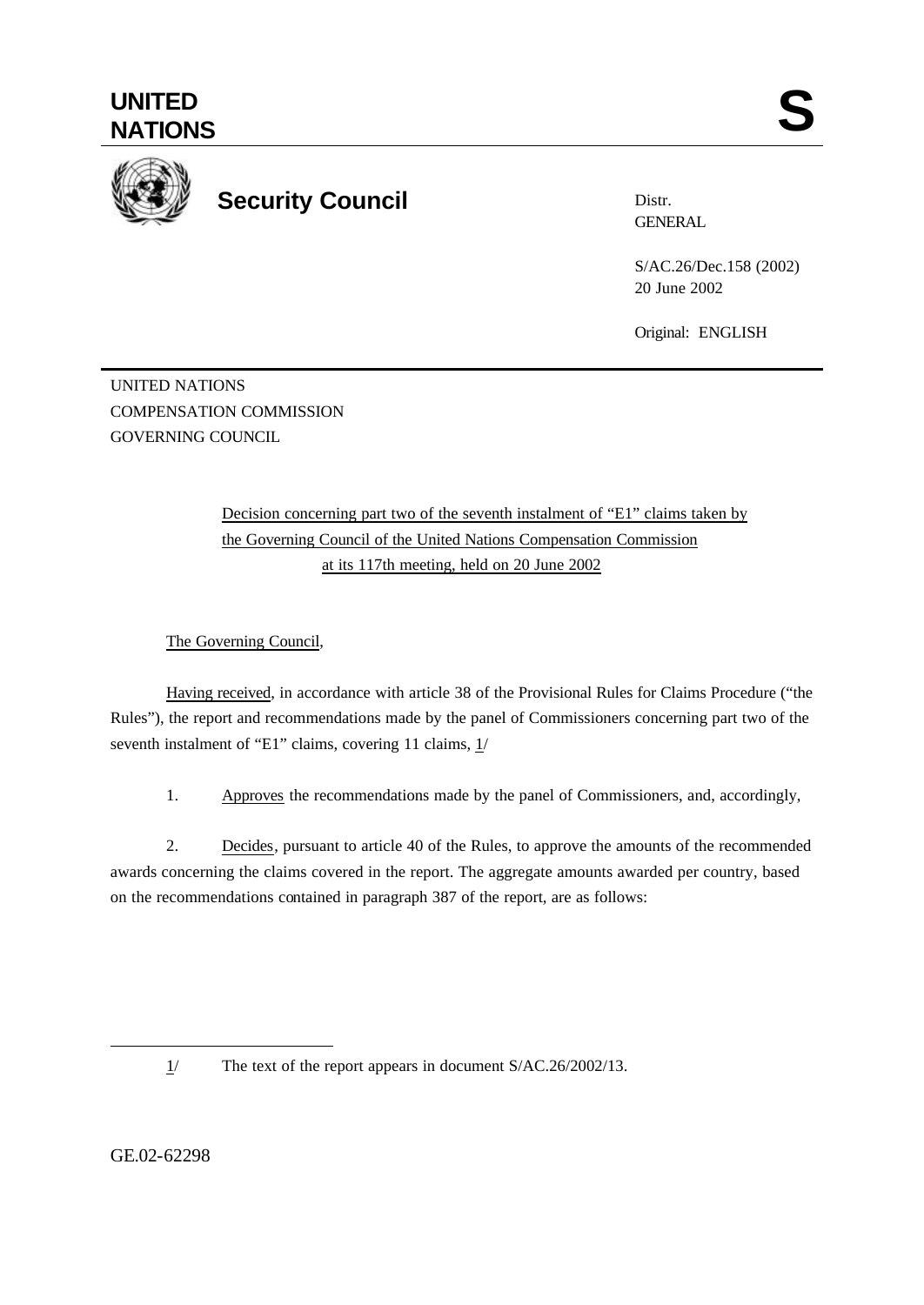

## **Security Council**

Distr. **GENERAL** 

S/AC.26/Dec.158 (2002) 20 June 2002

Original: ENGLISH

UNITED NATIONS COMPENSATION COMMISSION GOVERNING COUNCIL

> Decision concerning part two of the seventh instalment of "E1" claims taken by the Governing Council of the United Nations Compensation Commission at its 117th meeting, held on 20 June 2002

The Governing Council,

Having received, in accordance with article 38 of the Provisional Rules for Claims Procedure ("the Rules"), the report and recommendations made by the panel of Commissioners concerning part two of the seventh instalment of "E1" claims, covering 11 claims,  $1/$ 

1. Approves the recommendations made by the panel of Commissioners, and, accordingly,

2. Decides, pursuant to article 40 of the Rules, to approve the amounts of the recommended awards concerning the claims covered in the report. The aggregate amounts awarded per country, based on the recommendations contained in paragraph 387 of the report, are as follows:

1/ The text of the report appears in document S/AC.26/2002/13.

GE.02-62298

l